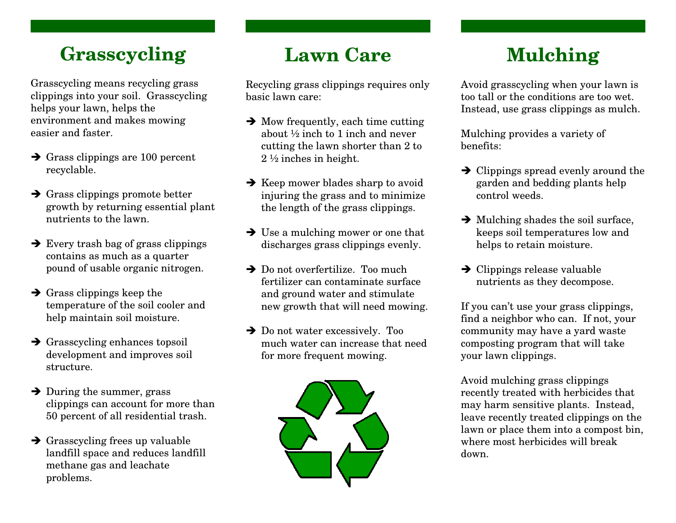### **Grasscycling**

Grasscycling means recycling grass clippings into your soil. Grasscycling helps your lawn, helps the environment and makes mowing easier and faster.

- $\rightarrow$  Grass clippings are 100 percent<br>recyclable recyclable.
- $\rightarrow$  Grass clippings promote better<br>growth by returning essential n growth by returning essential plant nutrients to the lawn.
- $\rightarrow$  Every trash bag of grass clippings<br>contains as much as a quarter contains as much as a quarter pound of usable organic nitrogen.
- $\rightarrow$  Grass clippings keep the<br>temperature of the soil co temperature of the soil cooler and help maintain soil moisture.
- $\rightarrow$  Grasscycling enhances topsoil<br>development and improves soil development and improves soil structure.
- $\rightarrow$  During the summer, grass<br>clinnings can account for m clippings can account for more than 50 percent of all residential trash.
- Grasscycling frees up valuable<br>landfill space and reduces land landfill space and reduces landfill methane gas and leachate problems.

### **Lawn Care**

Recycling grass clippings requires only basic lawn care:

- $\rightarrow$  Mow frequently, each time cutting  $\rightarrow$  Mow frequently, each time cutting<br>about  $\frac{1}{2}$  inch to 1 inch and never cutting the lawn shorter than 2 to 2 ½ inches in height.
- $\rightarrow$  Keep mower blades sharp to avoid<br>injuring the grass and to minimize injuring the grass and to minimize the length of the grass clippings.
- $\rightarrow$  Use a mulching mower or one that<br>discharges grass clinnings evenly discharges grass clippings evenly.
- $\rightarrow$  Do not overfertilize. Too much Do not overfertilize. Too much fertilizer can contaminate surface and ground water and stimulate new growth that will need mowing.
- $\rightarrow$  Do not water excessively. Too Do not water excessively. Too much water can increase that need for more frequent mowing.



# **Mulching**

Avoid grasscycling when your lawn is too tall or the conditions are too wet. Instead, use grass clippings as mulch.

Mulching provides a variety of benefits:

- $\rightarrow$  Clippings spread evenly around the varden and bedding plants help garden and bedding plants help control weeds.
- $\rightarrow$  Mulching shades the soil surface,<br>keeps soil temperatures low and keeps soil temperatures low and helps to retain moisture.
- $\rightarrow$  Clippings release valuable<br>nutrients as they decompos nutrients as they decompose.

If you can't use your grass clippings, find a neighbor who can. If not, your community may have a yard waste composting program that will take your lawn clippings.

Avoid mulching grass clippings recently treated with herbicides that may harm sensitive plants. Instead, leave recently treated clippings on the lawn or place them into a compost bin, where most herbicides will break down.